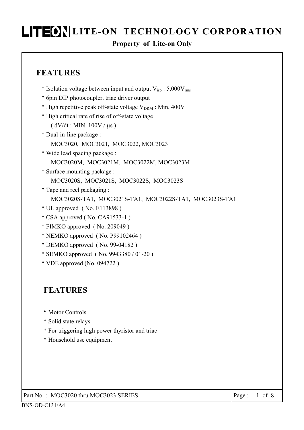#### **Property of Lite-on Only**

### **FEATURES**

- \* Isolation voltage between input and output  $V_{iso}$ : 5,000 $V_{rms}$
- \* 6pin DIP photocoupler, triac driver output
- \* High repetitive peak off-state voltage  $V_{DRM}$  : Min. 400V
- \* High critical rate of rise of off-state voltage
	- $(dV/dt : MIN. 100V / \mu s)$
- \* Dual-in-line package :
	- MOC3020, MOC3021, MOC3022, MOC3023
- \* Wide lead spacing package : MOC3020M, MOC3021M, MOC3022M, MOC3023M
- \* Surface mounting package : MOC3020S, MOC3021S, MOC3022S, MOC3023S
- \* Tape and reel packaging : MOC3020S-TA1, MOC3021S-TA1, MOC3022S-TA1, MOC3023S-TA1
- \* UL approved ( No. E113898 )
- \* CSA approved ( No. CA91533-1 )
- \* FIMKO approved ( No. 209049 )
- \* NEMKO approved ( No. P99102464 )
- \* DEMKO approved ( No. 99-04182 )
- \* SEMKO approved ( No. 9943380 / 01-20 )
- \* VDE approved (No. 094722 )

### **FEATURES**

- \* Motor Controls
- \* Solid state relays
- \* For triggering high power thyristor and triac
- \* Household use equipment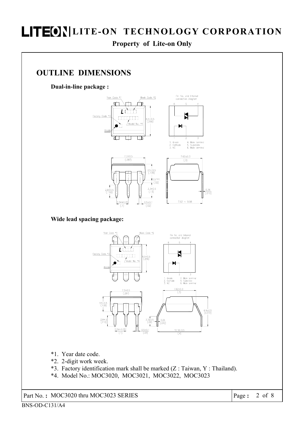**Property of Lite-on Only** 

#### **OUTLINE DIMENSIONS**

**Dual-in-line package :** 



**Wide lead spacing package:** 



\*1. Year date code.

- \*2. 2-digit work week.
- \*3. Factory identification mark shall be marked  $(Z : T$ aiwan, Y : Thailand).
- \*4. Model No.: MOC3020, MOC3021, MOC3022, MOC3023

Part No. **:** MOC3020 thru MOC3023 SERIES Page **:** 2 of 8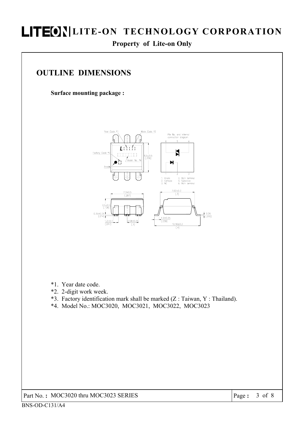#### **Property of Lite-on Only**

### **OUTLINE DIMENSIONS**

**Surface mounting package :** 



- \*1. Year date code.
- \*2. 2-digit work week.
- \*3. Factory identification mark shall be marked  $(Z : Taiwan, Y : Thailand)$ .
- \*4. Model No.: MOC3020, MOC3021, MOC3022, MOC3023

Part No. **:** MOC3020 thru MOC3023 SERIES **Page :** 3 of 8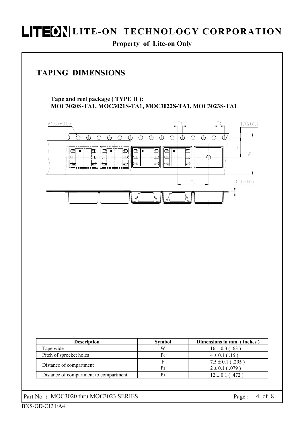**Property of Lite-on Only** 

### **TAPING DIMENSIONS**

**Tape and reel package ( TYPE II ): MOC3020S-TA1, MOC3021S-TA1, MOC3022S-TA1, MOC3023S-TA1** 

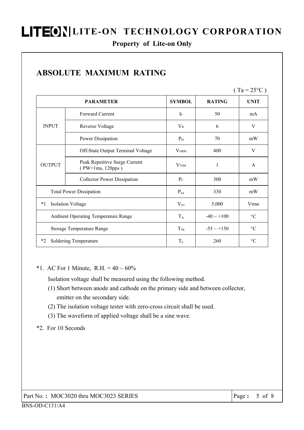#### **Property of Lite-on Only**

|                                     |                                                   |                         |                 | $(Ta = 25^{\circ}C)$ |
|-------------------------------------|---------------------------------------------------|-------------------------|-----------------|----------------------|
|                                     | <b>PARAMETER</b>                                  | <b>SYMBOL</b>           | <b>RATING</b>   | <b>UNIT</b>          |
|                                     | Forward Current                                   | $\mathbf{I}$ F          | 50              | mA                   |
| <b>INPUT</b>                        | Reverse Voltage                                   | $V_{R}$                 | 6               | V                    |
|                                     | Power Dissipation                                 | $P_D$                   | 70              | mW                   |
| <b>OUTPUT</b>                       | Off-State Output Terminal Voltage                 | <b>VDRM</b>             | 400             | V                    |
|                                     | Peak Repetitive Surge Current<br>(PW=1ms, 120pps) | <b>V</b> <sub>TSM</sub> | 1               | A                    |
|                                     | <b>Collector Power Dissipation</b>                | $P_{C}$                 | 300             | mW                   |
| <b>Total Power Dissipation</b>      |                                                   | $P_{\text{tot}}$        | 330             | mW                   |
| <b>Isolation Voltage</b><br>$*1$    |                                                   | $V_{iso}$               | 5,000           | Vrms                 |
| Ambient Operating Temperature Range |                                                   | $T_A$                   | $-40 \sim +100$ | $\rm ^{\circ}C$      |
|                                     | <b>Storage Temperature Range</b>                  | $T_{\text{stg}}$        | $-55 \sim +150$ | $\rm ^{\circ}C$      |
| $*_{2}$                             | Soldering Temperature                             | $T_{L}$                 | 260             | $\rm ^{\circ}C$      |

### **ABSOLUTE MAXIMUM RATING**

|  |  |  | *1. AC For 1 Minute, R.H. = $40 \sim 60\%$ |
|--|--|--|--------------------------------------------|
|--|--|--|--------------------------------------------|

Isolation voltage shall be measured using the following method.

- (1) Short between anode and cathode on the primary side and between collector, emitter on the secondary side.
- (2) The isolation voltage tester with zero-cross circuit shall be used.
- (3) The waveform of applied voltage shall be a sine wave.

#### \*2. For 10 Seconds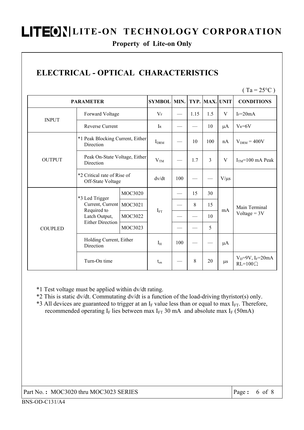#### **Property of Lite-on Only**

## **ELECTRICAL - OPTICAL CHARACTERISTICS**

 $(Ta = 25^{\circ}C)$ 

| <b>PARAMETER</b> | <b>SYMBOL</b>                                                                                 | MIN.    |                  | TYP. MAX. UNIT |      | <b>CONDITIONS</b> |           |                                                      |
|------------------|-----------------------------------------------------------------------------------------------|---------|------------------|----------------|------|-------------------|-----------|------------------------------------------------------|
|                  | Forward Voltage                                                                               |         | $V_F$            |                | 1.15 | 1.5               | V         | $I_F = 20mA$                                         |
| <b>INPUT</b>     | <b>Reverse Current</b>                                                                        |         | $I_{R}$          |                |      | 10                | $\mu A$   | $V_R = 6V$                                           |
|                  | *1 Peak Blocking Current, Either<br>Direction                                                 |         | I <sub>DRM</sub> |                | 10   | 100               | nA        | $V_{DRM} = 400V$                                     |
| <b>OUTPUT</b>    | Peak On-State Voltage, Either<br>Direction                                                    |         | V <sub>TM</sub>  |                | 1.7  | $\overline{3}$    | V         | $ITM=100$ mA Peak                                    |
|                  | *2 Critical rate of Rise of<br>Off-State Voltage                                              |         | dv/dt            | 100            |      |                   | $V/\mu s$ |                                                      |
|                  | *3 Led Trigger<br>Current, Current<br>Required to<br>Latch Output,<br><b>Either Direction</b> | MOC3020 | $I_{FT}$         |                | 15   | 30                | mA        | Main Terminal<br>$Voltage = 3V$                      |
|                  |                                                                                               | MOC3021 |                  |                | 8    | 15                |           |                                                      |
|                  |                                                                                               | MOC3022 |                  |                |      | 10                |           |                                                      |
| <b>COUPLED</b>   |                                                                                               | MOC3023 |                  |                |      | 5                 |           |                                                      |
|                  | Holding Current, Either<br>Direction                                                          |         | $I_H$            | 100            |      |                   | $\mu A$   |                                                      |
|                  | Turn-On time                                                                                  |         | $t_{on}$         |                | 8    | 20                | $\mu$ s   | $V_D = 9V$ , I <sub>F</sub> =20mA<br>$RL=100 \Omega$ |

\*1 Test voltage must be applied within dv/dt rating.

\*2 This is static dv/dt. Commutating dv/dt is a function of the load-driving thyristor(s) only.

\*3 All devices are guaranteed to trigger at an  $I_F$  value less than or equal to max  $I_{FT}$ . Therefore, recommended operating  $I_F$  lies between max  $I_{FT}$  30 mA and absolute max  $I_F$  (50mA)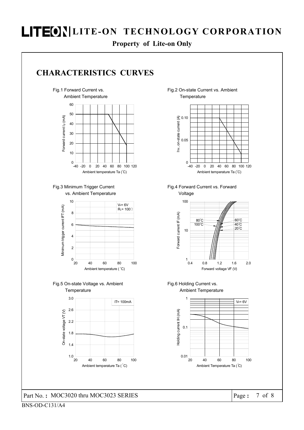**Property of Lite-on Only**